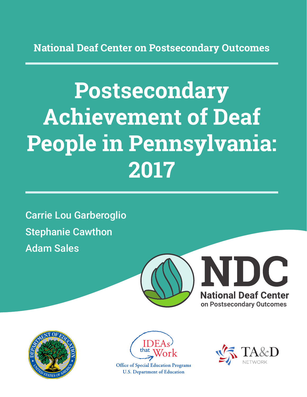**National Deaf Center on Postsecondary Outcomes**

# **Postsecondary Achievement of Deaf People in Pennsylvania: 2017**

Carrie Lou Garberoglio Stephanie Cawthon Adam Sales







**Office of Special Education Programs U.S. Department of Education** 

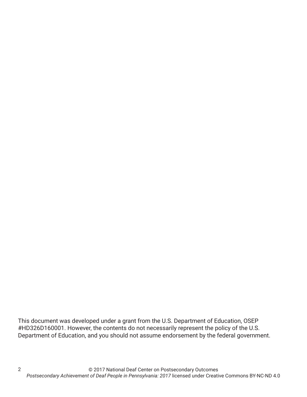This document was developed under a grant from the U.S. Department of Education, OSEP #HD326D160001. However, the contents do not necessarily represent the policy of the U.S. Department of Education, and you should not assume endorsement by the federal government.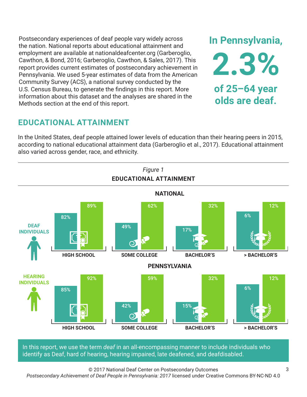Postsecondary experiences of deaf people vary widely across the nation. National reports about educational attainment and employment are available at nationaldeafcenter.org (Garberoglio, Cawthon, & Bond, 2016; Garberoglio, Cawthon, & Sales, 2017). This report provides current estimates of postsecondary achievement in Pennsylvania. We used 5-year estimates of data from the American Community Survey (ACS), a national survey conducted by the U.S. Census Bureau, to generate the findings in this report. More information about this dataset and the analyses are shared in the Methods section at the end of this report.

# **EDUCATIONAL ATTAINMENT**

In the United States, deaf people attained lower levels of education than their hearing peers in 2015, according to national educational attainment data (Garberoglio et al., 2017). Educational attainment also varied across gender, race, and ethnicity.



In this report, we use the term *deaf* in an all-encompassing manner to include individuals who identify as Deaf, hard of hearing, hearing impaired, late deafened, and deafdisabled.

© 2017 National Deaf Center on Postsecondary Outcomes

*Postsecondary Achievement of Deaf People in Pennsylvania: 2017* licensed under Creative Commons BY-NC-ND 4.0

**In Pennsylvania,**

**2.3%**

**of 25–64 year**

**olds are deaf.**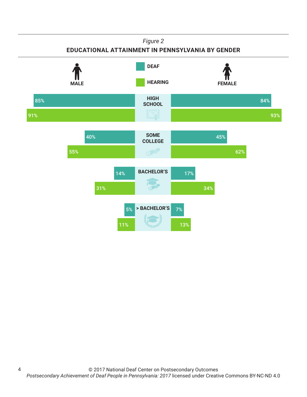#### *Figure 2*

#### **EDUCATIONAL ATTAINMENT IN PENNSYLVANIA BY GENDER**



4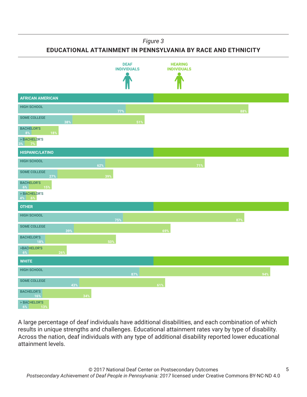*Figure 3*

**EDUCATIONAL ATTAINMENT IN PENNSYLVANIA BY RACE AND ETHNICITY**



A large percentage of deaf individuals have additional disabilities, and each combination of which results in unique strengths and challenges. Educational attainment rates vary by type of disability. Across the nation, deaf individuals with any type of additional disability reported lower educational attainment levels.

5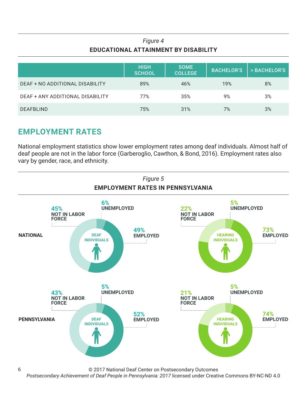### *Figure 4* **EDUCATIONAL ATTAINMENT BY DISABILITY**

|                                  | <b>HIGH</b><br><b>SCHOOL</b> | <b>SOME</b><br><b>COLLEGE</b> | <b>BACHELOR'S</b> | > BACHELOR'S |
|----------------------------------|------------------------------|-------------------------------|-------------------|--------------|
| DEAF + NO ADDITIONAL DISABILITY  | 89%                          | 46%                           | 19%               | 8%           |
| DEAF + ANY ADDITIONAL DISABILITY | 77%                          | 35%                           | 9%                | 3%           |
| <b>DEAFBLIND</b>                 | 75%                          | 31%                           | 7%                | 3%           |

# **EMPLOYMENT RATES**

6

National employment statistics show lower employment rates among deaf individuals. Almost half of deaf people are not in the labor force (Garberoglio, Cawthon, & Bond, 2016). Employment rates also vary by gender, race, and ethnicity.



© 2017 National Deaf Center on Postsecondary Outcomes

*Postsecondary Achievement of Deaf People in Pennsylvania: 2017* licensed under Creative Commons BY-NC-ND 4.0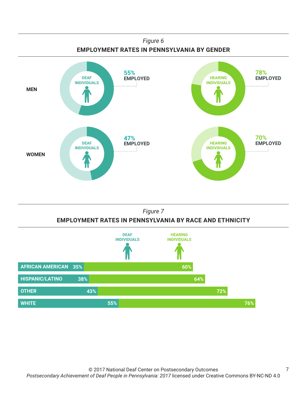

#### *Figure 7* **EMPLOYMENT RATES IN PENNSYLVANIA BY RACE AND ETHNICITY**



7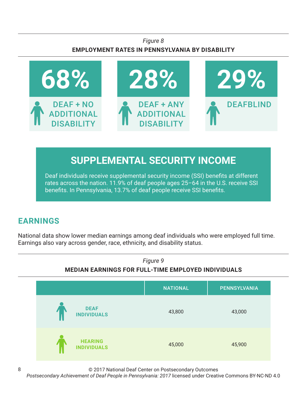### *Figure 8* **EMPLOYMENT RATES IN PENNSYLVANIA BY DISABILITY**



# **SUPPLEMENTAL SECURITY INCOME**

Deaf individuals receive supplemental security income (SSI) benefits at different rates across the nation. 11.9% of deaf people ages 25–64 in the U.S. receive SSI benefits. In Pennsylvania, 13.7% of deaf people receive SSI benefits.

# **EARNINGS**

National data show lower median earnings among deaf individuals who were employed full time. Earnings also vary across gender, race, ethnicity, and disability status.



© 2017 National Deaf Center on Postsecondary Outcomes

*Postsecondary Achievement of Deaf People in Pennsylvania: 2017* licensed under Creative Commons BY-NC-ND 4.0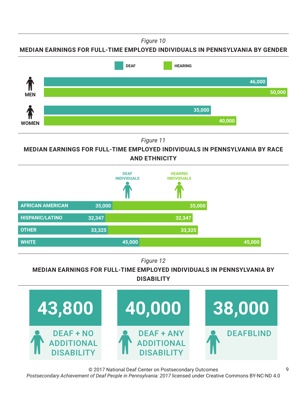*Figure 10*

**MEDIAN EARNINGS FOR FULL-TIME EMPLOYED INDIVIDUALS IN PENNSYLVANIA BY GENDER**



*Figure 11*

**MEDIAN EARNINGS FOR FULL-TIME EMPLOYED INDIVIDUALS IN PENNSYLVANIA BY RACE AND ETHNICITY**



*Figure 12*

#### **MEDIAN EARNINGS FOR FULL-TIME EMPLOYED INDIVIDUALS IN PENNSYLVANIA BY DISABILITY**



© 2017 National Deaf Center on Postsecondary Outcomes *Postsecondary Achievement of Deaf People in Pennsylvania: 2017* licensed under Creative Commons BY-NC-ND 4.0